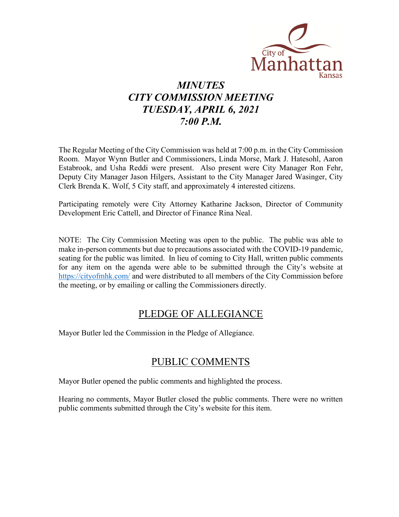

# *MINUTES CITY COMMISSION MEETING TUESDAY, APRIL 6, 2021 7:00 P.M.*

The Regular Meeting of the City Commission was held at 7:00 p.m. in the City Commission Room. Mayor Wynn Butler and Commissioners, Linda Morse, Mark J. Hatesohl, Aaron Estabrook, and Usha Reddi were present. Also present were City Manager Ron Fehr, Deputy City Manager Jason Hilgers, Assistant to the City Manager Jared Wasinger, City Clerk Brenda K. Wolf, 5 City staff, and approximately 4 interested citizens.

Participating remotely were City Attorney Katharine Jackson, Director of Community Development Eric Cattell, and Director of Finance Rina Neal.

NOTE: The City Commission Meeting was open to the public. The public was able to make in-person comments but due to precautions associated with the COVID-19 pandemic, seating for the public was limited. In lieu of coming to City Hall, written public comments for any item on the agenda were able to be submitted through the City's website at [https://cityofmhk.com/](https://cityofmhk.com/and) and were distributed to all members of the City Commission before the meeting, or by emailing or calling the Commissioners directly.

### PLEDGE OF ALLEGIANCE

Mayor Butler led the Commission in the Pledge of Allegiance.

## PUBLIC COMMENTS

Mayor Butler opened the public comments and highlighted the process.

Hearing no comments, Mayor Butler closed the public comments. There were no written public comments submitted through the City's website for this item.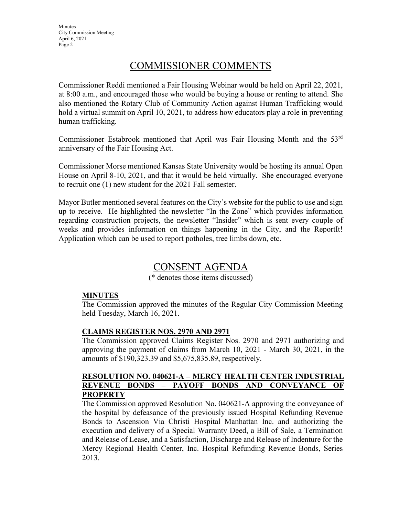**Minutes** City Commission Meeting April 6, 2021 Page 2

### COMMISSIONER COMMENTS

Commissioner Reddi mentioned a Fair Housing Webinar would be held on April 22, 2021, at 8:00 a.m., and encouraged those who would be buying a house or renting to attend. She also mentioned the Rotary Club of Community Action against Human Trafficking would hold a virtual summit on April 10, 2021, to address how educators play a role in preventing human trafficking.

Commissioner Estabrook mentioned that April was Fair Housing Month and the 53rd anniversary of the Fair Housing Act.

Commissioner Morse mentioned Kansas State University would be hosting its annual Open House on April 8-10, 2021, and that it would be held virtually. She encouraged everyone to recruit one (1) new student for the 2021 Fall semester.

Mayor Butler mentioned several features on the City's website for the public to use and sign up to receive. He highlighted the newsletter "In the Zone" which provides information regarding construction projects, the newsletter "Insider" which is sent every couple of weeks and provides information on things happening in the City, and the ReportIt! Application which can be used to report potholes, tree limbs down, etc.

### CONSENT AGENDA

(\* denotes those items discussed)

### **MINUTES**

The Commission approved the minutes of the Regular City Commission Meeting held Tuesday, March 16, 2021.

### **CLAIMS REGISTER NOS. 2970 AND 2971**

The Commission approved Claims Register Nos. 2970 and 2971 authorizing and approving the payment of claims from March 10, 2021 - March 30, 2021, in the amounts of \$190,323.39 and \$5,675,835.89, respectively.

### **RESOLUTION NO. 040621-A – MERCY HEALTH CENTER INDUSTRIAL REVENUE BONDS – PAYOFF BONDS AND CONVEYANCE OF PROPERTY**

The Commission approved Resolution No. 040621-A approving the conveyance of the hospital by defeasance of the previously issued Hospital Refunding Revenue Bonds to Ascension Via Christi Hospital Manhattan Inc. and authorizing the execution and delivery of a Special Warranty Deed, a Bill of Sale, a Termination and Release of Lease, and a Satisfaction, Discharge and Release of Indenture for the Mercy Regional Health Center, Inc. Hospital Refunding Revenue Bonds, Series 2013.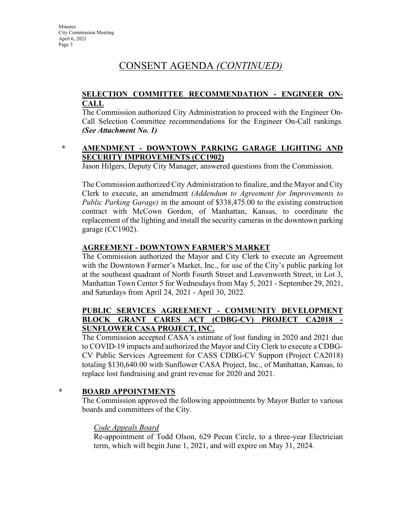## CONSENT AGENDA *(CONTINUED)*

### **SELECTION COMMITTEE RECOMMENDATION - ENGINEER ON-CALL**

The Commission authorized City Administration to proceed with the Engineer On-Call Selection Committee recommendations for the Engineer On-Call rankings. *(See Attachment No. 1)*

### **\* AMENDMENT - DOWNTOWN PARKING GARAGE LIGHTING AND SECURITY IMPROVEMENTS (CC1902)**

Jason Hilgers, Deputy City Manager, answered questions from the Commission.

The Commission authorized City Administration to finalize, and the Mayor and City Clerk to execute, an amendment *(Addendum to Agreement for Improvements to Public Parking Garage)* in the amount of \$338,475.00 to the existing construction contract with McCown Gordon, of Manhattan, Kansas, to coordinate the replacement of the lighting and install the security cameras in the downtown parking garage (CC1902).

### **AGREEMENT - DOWNTOWN FARMER'S MARKET**

The Commission authorized the Mayor and City Clerk to execute an Agreement with the Downtown Farmer's Market, Inc., for use of the City's public parking lot at the southeast quadrant of North Fourth Street and Leavenworth Street, in Lot 3, Manhattan Town Center 5 for Wednesdays from May 5, 2021 - September 29, 2021, and Saturdays from April 24, 2021 - April 30, 2022.

### **PUBLIC SERVICES AGREEMENT - COMMUNITY DEVELOPMENT BLOCK GRANT CARES ACT (CDBG-CV) PROJECT CA2018 - SUNFLOWER CASA PROJECT, INC.**

The Commission accepted CASA's estimate of lost funding in 2020 and 2021 due to COVID-19 impacts and authorized the Mayor and City Clerk to execute a CDBG-CV Public Services Agreement for CASS CDBG-CV Support (Project CA2018) totaling \$130,640.00 with Sunflower CASA Project, Inc., of Manhattan, Kansas, to replace lost fundraising and grant revenue for 2020 and 2021.

### **\* BOARD APPOINTMENTS**

The Commission approved the following appointments by Mayor Butler to various boards and committees of the City.

#### *Code Appeals Board*

Re-appointment of Todd Olson, 629 Pecan Circle, to a three-year Electrician term, which will begin June 1, 2021, and will expire on May 31, 2024.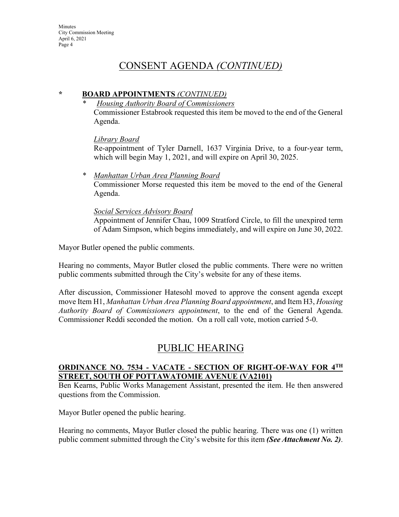## CONSENT AGENDA *(CONTINUED)*

### **\* BOARD APPOINTMENTS** *(CONTINUED)*

*\* Housing Authority Board of Commissioners* Commissioner Estabrook requested this item be moved to the end of the General Agenda.

*Library Board*

Re-appointment of Tyler Darnell, 1637 Virginia Drive, to a four-year term, which will begin May 1, 2021, and will expire on April 30, 2025.

*\* Manhattan Urban Area Planning Board* Commissioner Morse requested this item be moved to the end of the General Agenda.

### *Social Services Advisory Board*

Appointment of Jennifer Chau, 1009 Stratford Circle, to fill the unexpired term of Adam Simpson, which begins immediately, and will expire on June 30, 2022.

Mayor Butler opened the public comments.

Hearing no comments, Mayor Butler closed the public comments. There were no written public comments submitted through the City's website for any of these items.

After discussion, Commissioner Hatesohl moved to approve the consent agenda except move Item H1, *Manhattan Urban Area Planning Board appointment*, and Item H3, *Housing Authority Board of Commissioners appointment*, to the end of the General Agenda. Commissioner Reddi seconded the motion. On a roll call vote, motion carried 5-0.

## PUBLIC HEARING

### **ORDINANCE NO. 7534 - VACATE - SECTION OF RIGHT-OF-WAY FOR 4TH STREET, SOUTH OF POTTAWATOMIE AVENUE (VA2101)**

Ben Kearns, Public Works Management Assistant, presented the item. He then answered questions from the Commission.

Mayor Butler opened the public hearing.

Hearing no comments, Mayor Butler closed the public hearing. There was one (1) written public comment submitted through the City's website for this item *(See Attachment No. 2)*.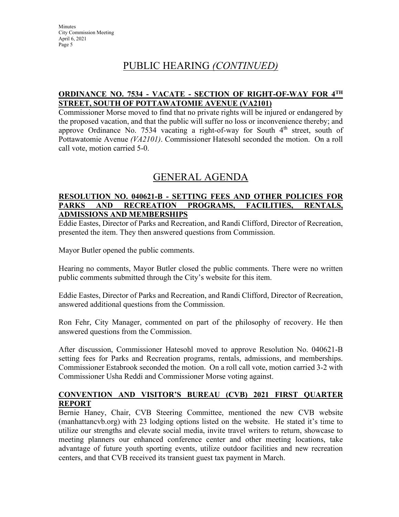## PUBLIC HEARING *(CONTINUED)*

### **ORDINANCE NO. 7534 - VACATE - SECTION OF RIGHT-OF-WAY FOR 4TH STREET, SOUTH OF POTTAWATOMIE AVENUE (VA2101)**

Commissioner Morse moved to find that no private rights will be injured or endangered by the proposed vacation, and that the public will suffer no loss or inconvenience thereby; and approve Ordinance No. 7534 vacating a right-of-way for South  $4<sup>th</sup>$  street, south of Pottawatomie Avenue *(VA2101)*. Commissioner Hatesohl seconded the motion. On a roll call vote, motion carried 5-0.

## GENERAL AGENDA

### **RESOLUTION NO. 040621-B - SETTING FEES AND OTHER POLICIES FOR PARKS AND RECREATION PROGRAMS, FACILITIES, RENTALS, ADMISSIONS AND MEMBERSHIPS**

Eddie Eastes, Director of Parks and Recreation, and Randi Clifford, Director of Recreation, presented the item. They then answered questions from Commission.

Mayor Butler opened the public comments.

Hearing no comments, Mayor Butler closed the public comments. There were no written public comments submitted through the City's website for this item.

Eddie Eastes, Director of Parks and Recreation, and Randi Clifford, Director of Recreation, answered additional questions from the Commission.

Ron Fehr, City Manager, commented on part of the philosophy of recovery. He then answered questions from the Commission.

After discussion, Commissioner Hatesohl moved to approve Resolution No. 040621-B setting fees for Parks and Recreation programs, rentals, admissions, and memberships. Commissioner Estabrook seconded the motion. On a roll call vote, motion carried 3-2 with Commissioner Usha Reddi and Commissioner Morse voting against.

### **CONVENTION AND VISITOR'S BUREAU (CVB) 2021 FIRST QUARTER REPORT**

Bernie Haney, Chair, CVB Steering Committee, mentioned the new CVB website (manhattancvb.org) with 23 lodging options listed on the website. He stated it's time to utilize our strengths and elevate social media, invite travel writers to return, showcase to meeting planners our enhanced conference center and other meeting locations, take advantage of future youth sporting events, utilize outdoor facilities and new recreation centers, and that CVB received its transient guest tax payment in March.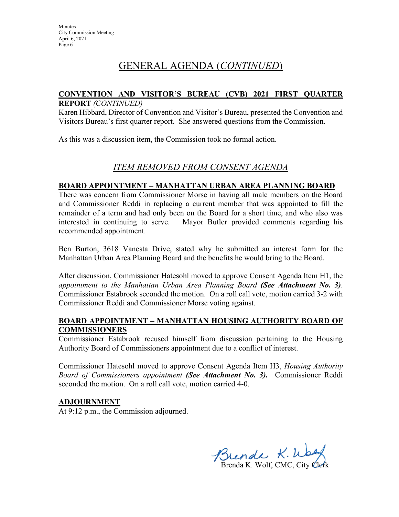## GENERAL AGENDA (*CONTINUED*)

#### **CONVENTION AND VISITOR'S BUREAU (CVB) 2021 FIRST QUARTER REPORT** *(CONTINUED)*

Karen Hibbard, Director of Convention and Visitor's Bureau, presented the Convention and Visitors Bureau's first quarter report. She answered questions from the Commission.

As this was a discussion item, the Commission took no formal action.

### *ITEM REMOVED FROM CONSENT AGENDA*

### **BOARD APPOINTMENT – MANHATTAN URBAN AREA PLANNING BOARD**

There was concern from Commissioner Morse in having all male members on the Board and Commissioner Reddi in replacing a current member that was appointed to fill the remainder of a term and had only been on the Board for a short time, and who also was interested in continuing to serve. Mayor Butler provided comments regarding his recommended appointment.

Ben Burton, 3618 Vanesta Drive, stated why he submitted an interest form for the Manhattan Urban Area Planning Board and the benefits he would bring to the Board.

After discussion, Commissioner Hatesohl moved to approve Consent Agenda Item H1, the *appointment to the Manhattan Urban Area Planning Board (See Attachment No. 3)*. Commissioner Estabrook seconded the motion. On a roll call vote, motion carried 3-2 with Commissioner Reddi and Commissioner Morse voting against.

### **BOARD APPOINTMENT – MANHATTAN HOUSING AUTHORITY BOARD OF COMMISSIONERS**

Commissioner Estabrook recused himself from discussion pertaining to the Housing Authority Board of Commissioners appointment due to a conflict of interest.

Commissioner Hatesohl moved to approve Consent Agenda Item H3, *Housing Authority Board of Commissioners appointment (See Attachment No. 3).* Commissioner Reddi seconded the motion. On a roll call vote, motion carried 4-0.

#### **ADJOURNMENT**

At 9:12 p.m., the Commission adjourned.

 $\mathcal{D}$ rende  $\kappa$ . Woog

Brenda K. Wolf, CMC, City Clerk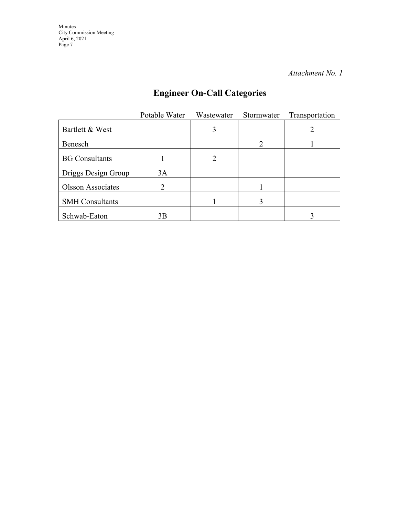*Attachment No. 1*

# **Engineer On-Call Categories**

|                          | Potable Water | Wastewater | Stormwater | Transportation |
|--------------------------|---------------|------------|------------|----------------|
| Bartlett & West          |               | 3          |            |                |
| Benesch                  |               |            |            |                |
| <b>BG</b> Consultants    |               | 2          |            |                |
| Driggs Design Group      | 3A            |            |            |                |
| <b>Olsson Associates</b> | າ             |            |            |                |
| <b>SMH</b> Consultants   |               |            | 3          |                |
| Schwab-Eaton             | 3B            |            |            |                |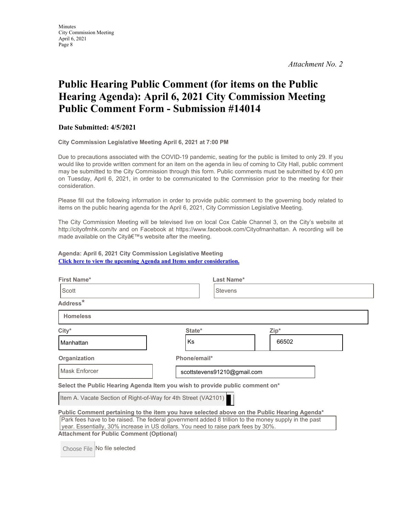*Attachment No. 2*

# **Public Hearing Public Comment (for items on the Public Hearing Agenda): April 6, 2021 City Commission Meeting Public Comment Form - Submission #14014**

#### **Date Submitted: 4/5/2021**

**City Commission Legislative Meeting April 6, 2021 at 7:00 PM**

Due to precautions associated with the COVID-19 pandemic, seating for the public is limited to only 29. If you would like to provide written comment for an item on the agenda in lieu of coming to City Hall, public comment may be submitted to the City Commission through this form. Public comments must be submitted by 4:00 pm on Tuesday, April 6, 2021, in order to be communicated to the Commission prior to the meeting for their consideration.

Please fill out the following information in order to provide public comment to the governing body related to items on the public hearing agenda for the April 6, 2021, City Commission Legislative Meeting.

The City Commission Meeting will be televised live on local Cox Cable Channel 3, on the City's website at http://cityofmhk.com/tv and on Facebook at https://www.facebook.com/Cityofmanhattan. A recording will be made available on the City's website after the meeting.

**Agenda: April 6, 2021 City Commission Legislative Meeting [Click here to view the upcoming Agenda and Items under consideration.](https://cityofmhk.com/Archive.aspx?ADID=7625)**

| First Name*                                                    | Last Name*                                                                                                                                                                                                                                                                                |       |  |  |
|----------------------------------------------------------------|-------------------------------------------------------------------------------------------------------------------------------------------------------------------------------------------------------------------------------------------------------------------------------------------|-------|--|--|
| Scott                                                          | <b>Stevens</b>                                                                                                                                                                                                                                                                            |       |  |  |
| Address <sup>*</sup>                                           |                                                                                                                                                                                                                                                                                           |       |  |  |
| <b>Homeless</b>                                                |                                                                                                                                                                                                                                                                                           |       |  |  |
| $City*$                                                        | State*                                                                                                                                                                                                                                                                                    | Zip*  |  |  |
| Manhattan                                                      | <b>Ks</b>                                                                                                                                                                                                                                                                                 | 66502 |  |  |
| Organization                                                   | Phone/email*                                                                                                                                                                                                                                                                              |       |  |  |
| Mask Enforcer                                                  | scottstevens91210@gmail.com                                                                                                                                                                                                                                                               |       |  |  |
|                                                                | Select the Public Hearing Agenda Item you wish to provide public comment on*                                                                                                                                                                                                              |       |  |  |
| Item A. Vacate Section of Right-of-Way for 4th Street (VA2101) |                                                                                                                                                                                                                                                                                           |       |  |  |
| <b>Attachment for Public Comment (Optional)</b>                | Public Comment pertaining to the item you have selected above on the Public Hearing Agenda*<br>Park fees have to be raised. The federal government added 8 trillion to the money supply in the past<br>year. Essentially, 30% increase in US dollars. You need to raise park fees by 30%. |       |  |  |
|                                                                |                                                                                                                                                                                                                                                                                           |       |  |  |

Choose File No file selected